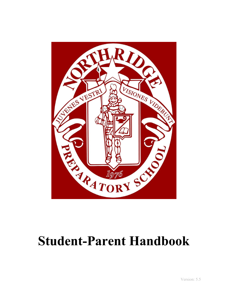

# **Student-Parent Handbook**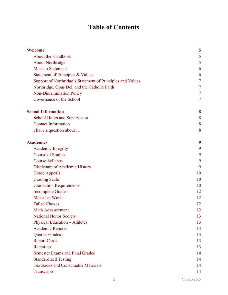# **Table of Contents**

| Welcome                                                    | 5              |  |  |  |
|------------------------------------------------------------|----------------|--|--|--|
| <b>About the Handbook</b>                                  | 5              |  |  |  |
| <b>About Northridge</b>                                    | 5              |  |  |  |
| <b>Mission Statement</b>                                   | 6              |  |  |  |
| Statement of Principles & Values                           | 6              |  |  |  |
| Support of Northridge's Statement of Principles and Values |                |  |  |  |
| Northridge, Opus Dei, and the Catholic Faith               | $\overline{7}$ |  |  |  |
| <b>Non-Discrimination Policy</b>                           | 7              |  |  |  |
| Governance of the School                                   | 7              |  |  |  |
| <b>School Information</b>                                  | 8              |  |  |  |
| <b>School Hours and Supervision</b>                        | 8              |  |  |  |
| <b>Contact Information</b>                                 | 8              |  |  |  |
| I have a question about                                    | 8              |  |  |  |
| <b>Academics</b>                                           | 9              |  |  |  |
| <b>Academic Integrity</b>                                  | 9              |  |  |  |
| <b>Course of Studies</b>                                   | 9              |  |  |  |
| <b>Course Syllabus</b>                                     | 9              |  |  |  |
| Disclosure of Academic History                             | 9              |  |  |  |
| <b>Grade Appeals</b>                                       | 10             |  |  |  |
| <b>Grading Scale</b>                                       | 10             |  |  |  |
| <b>Graduation Requirements</b>                             | 10             |  |  |  |
| <b>Incomplete Grades</b>                                   | 12             |  |  |  |
| Make-Up Work                                               | 12             |  |  |  |
| <b>Failed Classes</b>                                      | 12             |  |  |  |
| <b>Math Advancement</b>                                    | 12             |  |  |  |
| <b>National Honor Society</b>                              | 13             |  |  |  |
| <b>Physical Education - Athletes</b>                       | 13             |  |  |  |
| <b>Academic Reports</b>                                    | 13             |  |  |  |
| <b>Quarter Grades</b>                                      | 13             |  |  |  |
| <b>Report Cards</b>                                        | 13             |  |  |  |
| Retention                                                  | 13             |  |  |  |
| <b>Semester Exams and Final Grades</b>                     | 14             |  |  |  |
| <b>Standardized Testing</b>                                | 14             |  |  |  |
| <b>Textbooks and Consumable Materials</b>                  | 14             |  |  |  |
| Transcripts                                                | 14             |  |  |  |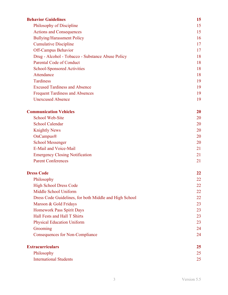| <b>Behavior Guidelines</b>                             | 15 |
|--------------------------------------------------------|----|
| Philosophy of Discipline                               | 15 |
| <b>Actions and Consequences</b>                        | 15 |
| <b>Bullying/Harassment Policy</b>                      | 16 |
| <b>Cumulative Discipline</b>                           | 17 |
| <b>Off-Campus Behavior</b>                             | 17 |
| Drug - Alcohol - Tobacco - Substance Abuse Policy      | 18 |
| <b>Parental Code of Conduct</b>                        | 18 |
| <b>School-Sponsored Activities</b>                     | 18 |
| Attendance                                             | 18 |
| <b>Tardiness</b>                                       | 19 |
| <b>Excused Tardiness and Absence</b>                   | 19 |
| <b>Frequent Tardiness and Absences</b>                 | 19 |
| <b>Unexcused Absence</b>                               | 19 |
| <b>Communication Vehicles</b>                          | 20 |
| <b>School Web-Site</b>                                 | 20 |
| <b>School Calendar</b>                                 | 20 |
| <b>Knightly News</b>                                   | 20 |
| OnCampus®                                              | 20 |
| <b>School Messenger</b>                                | 20 |
| E-Mail and Voice-Mail                                  | 21 |
| <b>Emergency Closing Notification</b>                  | 21 |
| <b>Parent Conferences</b>                              | 21 |
| <b>Dress Code</b>                                      | 22 |
| Philosophy                                             | 22 |
| <b>High School Dress Code</b>                          | 22 |
| Middle School Uniform                                  | 22 |
| Dress Code Guidelines, for both Middle and High School | 22 |
| Maroon & Gold Fridays                                  | 23 |
| Homework Pass Spirit Days                              | 23 |
| Hall Fests and Hall T Shirts                           | 23 |
| <b>Physical Education Uniform</b>                      | 23 |
| Grooming                                               | 24 |
| <b>Consequences for Non-Compliance</b>                 | 24 |
| <b>Extracurriculars</b>                                | 25 |
| Philosophy                                             | 25 |
| <b>International Students</b>                          | 25 |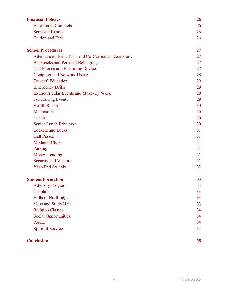| <b>Financial Policies</b>                             | <b>26</b> |
|-------------------------------------------------------|-----------|
| <b>Enrollment Contracts</b>                           | 26        |
| <b>Semester Exams</b>                                 | 26        |
| <b>Tuition and Fees</b>                               | 26        |
| <b>School Procedures</b>                              | 27        |
| Attendance - Field Trips and Co-Curricular Excursions | 27        |
| <b>Backpacks and Personal Belongings</b>              | 27        |
| <b>Cell Phones and Electronic Devices</b>             | 27        |
| <b>Computer and Network Usage</b>                     | 28        |
| Drivers' Education                                    | 29        |
| <b>Emergency Drills</b>                               | 29        |
| <b>Extracurricular Events and Make-Up Work</b>        | 29        |
| <b>Fundraising Events</b>                             | 29        |
| <b>Health Records</b>                                 | 30        |
| Medication                                            | 30        |
| Lunch                                                 | 30        |
| <b>Senior Lunch Privileges</b>                        | 30        |
| <b>Lockers and Locks</b>                              | 31        |
| <b>Hall Passes</b>                                    | 31        |
| Mothers' Club                                         | 31        |
| Parking                                               | 31        |
| <b>Money Lending</b>                                  | 31        |
| <b>Security and Visitors</b>                          | 31        |
| <b>Year-End Awards</b>                                | 32        |
| <b>Student Formation</b>                              | 33        |
| <b>Advisory Program</b>                               | 33        |
| Chaplain                                              | 33        |
| Halls of Northridge                                   | 33        |
| Mass and Study Hall                                   | 33        |
| <b>Religion Classes</b>                               | 34        |
| <b>Social Opportunities</b>                           | 34        |
| <b>PACE</b>                                           | 34        |
| Spirit of Service                                     | 34        |
| <b>Conclusion</b>                                     | 35        |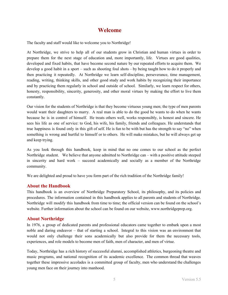# **Welcome**

<span id="page-4-0"></span>The faculty and staff would like to welcome you to Northridge!

At Northridge, we strive to help all of our students grow in Christian and human virtues in order to prepare them for the next stage of education and, more importantly, life. Virtues are good qualities, developed and fixed habits, that have become second nature by our repeated efforts to acquire them. We develop a good habit in a sport – such as shooting foul shots – by being taught how to do it properly and then practicing it repeatedly. At Northridge we learn self-dis cipline, perseverance, time management, reading, writing, thinking skills, and other good study and work habits by recognizing their importance and by practicing them regularly in school and outside of school. Similarly, we learn respect for others, honesty, responsibility, sincerity, generosity, and other moral virtues by making the effort to live them constantly.

Our vision for the students of Northridge is that they become virtuous young men; the type of men parents would want their daughters to marry. A real man is able to do the good he wants to do when he wants because he is in control of himself. He treats others well, works responsibly, is honest and sincere. He sees his life as one of service: to God, his wife, his family, friends and colleagues. He understands that true happiness is found only in this gift of self. He is fun to be with but has the strength to say "no" when something is wrong and hurtful to himself or to others. He will make mistakes, but he will always get up and keep trying.

As you look through this handbook, keep in mind that no one comes to our school as the perfect Northridge student. We believe that anyone admitted to Northridge can – with a positive attitude steeped in sincerity and hard work – succeed academically and socially as a member of the Northridge community.

We are delighted and proud to have you form part of the rich tradition of the Northridge family!

## <span id="page-4-1"></span>**About the Handbook**

This handbook is an overview of Northridge Preparatory School, its philosophy, and its policies and procedures. The information contained in this handbook applies to all parents and students of Northridge. Northridge will modify this handbook from time to time; the official version can be found on the school's website. Further information about the school can be found on our website, www.northridgeprep.org.

## <span id="page-4-2"></span>**About Northridge**

In 1976, a group of dedicated parents and professional educators came together to embark upon a most noble and daring endeavor  $-$  that of starting a school. Integral to this vision was an environment that would not only challenge their sons academically but also provide for them the necessary tools, experiences, and role models to become men of faith, men of character, and men of virtue.

Today, Northridge has a rich history of successful alumni, ac complished athletics, burgeoning theatre and music programs, and national recognition of its academic ex cellence. The common thread that weaves together these impressive accolades is a committed group of faculty, men who understand the challenges young men face on their journey into manhood.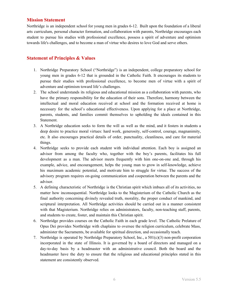#### <span id="page-5-0"></span>**Mission Statement**

Northridge is an independent school for young men in grades 6-12. Built upon the foundation of a liberal arts curriculum, personal character formation, and collaboration with parents, Northridge encourages each student to pursue his studies with professional excellence, possess a spirit of adventure and optimism towards life's challenges, and to become a man of virtue who desires to love God and serve others.

# <span id="page-5-1"></span>**Statement of Principles & Values**

- 1. Northridge Preparatory School ("Northridge") is an independent, college preparatory school for young men in grades 6-12 that is grounded in the Catholic Faith . It encourages its students to pursue their studies with professional excellence, to become men of virtue with a spirit of adventure and optimism toward life's challenges.
- 2. The school understands its religious and educational mission as a collaboration with parents, who have the primary responsibility for the education of their sons. Therefore, harmony between the intellectual and moral education received at school and the formation received at home is necessary for the school's educational effectiveness. Upon applying for a place at Northridge, parents, students, and families commit themselves to upholding the ideals contained in this Statement.
- 3. A Northridge education seeks to form the will as well as the mind, and it fosters in students a deep desire to practice moral virtues: hard work, generosity, self-control, courage, magnanimity, etc. It also encourages practical details of order, punctuality, cleanliness, and care for material things.
- 4. Northridge seeks to provide each student with individual attention. Each boy is assigned an advisor from among the faculty who, together with the boy's parents, facilitates his full development as a man. The advisor meets frequently with him one-on-one and, through his example, advice, and encouragement, helps the young man to grow in self-knowledge, achieve his maximum academic potential, and motivate him to struggle for virtue. The success of the advisory program requires on-going communication and cooperation between the parents and the advisor.
- 5. A defining characteristic of Northridge is the Christian spirit which imbues all of its activities, no matter how inconsequential. Northridge looks to the Magisterium of the Catholic Church as the final authority concerning divinely revealed truth, morality, the proper conduct of mankind, and scriptural interpretation. All Northridge activities should be carried out in a manner consistent with that Magisterium. Northridge relies on administrators, faculty, non-teaching staff, parents, and students to create, foster, and maintain this Christian spirit.
- 6. Northridge provides courses on the Catholic Faith in each grade level. The Catholic Prelature of Opus Dei provides Northridge with chaplains to oversee the reli gion curriculum, celebrate Mass, administer the Sacraments, be available for spiritual direction, and occasionally teach.
- 7. Northridge is operated by Northridge Preparatory School, Inc., a  $501(c)(3)$  non-profit corporation incorporated in the state of Illinois. It is governed by a board of directors and managed on a day-to-day basis by a headmaster with an administrative council. Both the board and the headmaster have the duty to ensure that the religious and educational principles stated in this statement are consistently observed.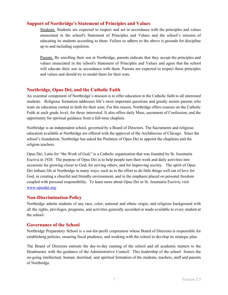#### <span id="page-6-0"></span>**Support of Northridge's Statement of Principles and Values**

Students. Students are expected to respect and act in accordance with the principles and values enunciated in the school's Statement of Principles and Values and the school's mission of educating its students according to them. Failure to adhere to the above is grounds for discipline up to and including expulsion.

Parents. By enrolling their son at Northridge, parents indicate that they accept the principles and values enunciated in the school's Statement of Principles and Values and agree that the school will educate their son in accordance with them. Parents are expected to respect these principles and values and should try to model them for their sons.

# <span id="page-6-1"></span>**Northridge, Opus Dei, and the Catholic Faith**

An essential component of Northridge's mission is to offer education in the Catholic faith to all interested students. Religious formation addresses life's most important questions and greatly assists parents who want an education rooted in faith for their sons. For this reason, Northridge offers courses on the Catholic Faith at each grade level, for those interested. It also offers daily Mass, sacrament of Confession, and the opportunity for spiritual guidance from a full-time chaplain.

Northridge is an independent school, governed by a Board of Directors. The Sacraments and religious education available at Northridge are offered with the approval of the Archdiocese of Chicago. Since the school's foundation, Northridge has asked the Prelature of Opus Dei to appoint the chaplains and the religion teachers.

Opus Dei, Latin for "the Work of God," is a Catholic organization that was founded by St. Josemaría Escrivá in 1928. The purpose of Opus Dei is to help people turn their work and daily activities into occasions for growing closer to God, for serving others, and for improving society. The spirit of Opus Dei imbues life at Northridge in many ways, such as in the effort to do little things well out of love for God, in creating a cheerful and friendly environment, and in the emphasis placed on personal freedom coupled with personal responsibility. To learn more about Opus Dei or St. Josemaría Escrivá, visit [www.opusdei.org](http://www.opusdei.org/).

#### <span id="page-6-2"></span>**Non-Discrimination Policy**

Northridge admits students of any race, color, national and ethnic origin, and religious background with all the rights, privileges, programs, and activities generally accorded or made available to every student at the school.

#### <span id="page-6-3"></span>**Governance of the School**

Northridge Preparatory School is a not-for-profit corporation whose Board of Directors is responsible for establishing policies, ensuring fiscal prudence, and working with the school to develop its strategic plan.

The Board of Directors entrusts the day-to-day running of the school and all academic matters to the Headmaster with the guidance of the Administrative Council. This leadership of the school fosters the on-going intellectual, human, doctrinal, and spiritual formation of the students, teachers, staff and parents of Northridge.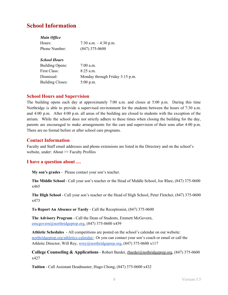# <span id="page-7-0"></span>**School Information**

#### *Main Office*

| Hours:        | 7:30 a.m. $-4:30$ p.m. |
|---------------|------------------------|
| Phone Number: | $(847)$ 375-0600       |

#### *School Hours*

| <b>Building Opens:</b>  | $7:00$ a.m.                     |
|-------------------------|---------------------------------|
| First Class:            | $8:25$ a.m.                     |
| Dismissal:              | Monday through Friday 3:15 p.m. |
| <b>Building Closes:</b> | $5:00$ p.m.                     |

# <span id="page-7-1"></span>**School Hours and Supervision**

The building opens each day at approximately  $7:00$  a.m. and closes at  $5:00$  p.m. During this time Northridge is able to provide a supervised environment for the students between the hours of 7:30 a.m. and 4:00 p.m. After 4:00 p.m. all areas of the building are closed to students with the exception of the atrium. While the school does not strictly adhere to these times when closing the building for the day, parents are encouraged to make arrangements for the care and supervision of their sons after 4:00 p.m. There are no formal before or after school care programs.

# <span id="page-7-2"></span>**Contact Information**

Faculty and Staff email addresses and phone extensions are listed in the Directory and on the school's website, under: About >> Faculty Profiles

## <span id="page-7-3"></span>**I have a question about …**

**My son's grades** - Please contact your son's teacher.

**The Middle School** - Call your son's teacher or the Head of Middle School, Joe Rhee, (847) 375-0600 x465

**The High School** - Call your son's teacher or the Head of High School, Peter Fletcher, (847) 375-0600 x473

**To Report An Absence or Tardy** - Call the Receptionist, (847) 375-0600

**The Advisory Program** - Call the Dean of Students, Emmett McGovern, emcgovern@northridgeprep.org, (847) 375-0600 x459

**Athletic Schedules** - All competitions are posted on the school's calendar on our website: [northridgeprep.org/athletics-calendar/.](http://northridgeprep.org/athletics-calendar/) Or you can contact your son's coach or email or call the Athletic Director, Will Rey, [wrey@northridgeprep.org](mailto:wrey@northridgeprep.org), (847) 375-0600 x117

**College Counseling & Applications** - Robert Barder, [rbarder@nothridgeprep.org,](mailto:rbarder@nothridgeprep.org) (847) 375-0600 x427

**Tuition** - Call Assistant Headmaster, Hugo Chong, (847) 375-0600 x432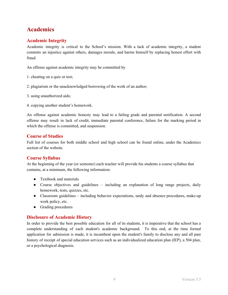# <span id="page-8-0"></span>**Academics**

# <span id="page-8-1"></span>**Academic Integrity**

Academic integrity is critical to the School's mission. With a lack of academic integrity, a student commits an injustice against others, damages morale, and harms himself by replacing honest effort with fraud.

An offense against academic integrity may be committed by

- 1. cheating on a quiz or test;
- 2. plagiarism or the unacknowledged borrowing of the work of an author;
- 3. using unauthorized aids;
- 4. copying another student's homework.

An offense against academic honesty may lead to a failing grade and parental notification. A second offense may result in lack of credit, immediate parental con ference, failure for the marking period in which the offense is committed, and suspension.

## <span id="page-8-2"></span>**Course of Studies**

Full list of courses for both middle school and high school can be found online, under the Academics section of the website.

## <span id="page-8-3"></span>**Course Syllabus**

At the beginning of the year (or semester) each teacher will provide his students a course syllabus that contains, at a minimum, the following information:

- Textbook and materials
- Course objectives and guidelines including an explanation of long range projects, daily homework, tests, quizzes, etc.
- Classroom guidelines including behavior expectations, tardy and absence procedures, make-up work policy, etc.
- Grading procedures

## <span id="page-8-4"></span>**Disclosure of Academic History**

In order to provide the best possible education for all of its students, it is imperative that the school has a complete understanding of each student's academic background. To this end, at the time formal application for admission is made, it is incumbent upon the student's family to disclose any and all past history of receipt of special education services such as an individualized education plan (IEP), a 504 plan, or a psychological diagnosis.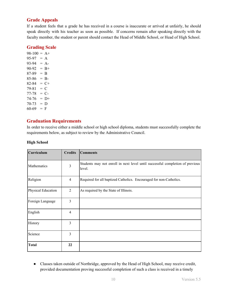# <span id="page-9-0"></span>**Grade Appeals**

If a student feels that a grade he has received in a course is inaccurate or arrived at unfairly, he should speak directly with his teacher as soon as possible. If concerns remain after speaking directly with the faculty member, the student or parent should contact the Head of Middle School, or Head of High School.

# <span id="page-9-1"></span>**Grading Scale**

 $98-100 = A+$  $95-97 = A$  $93-94 = A$  $90-92 = B+$  $87-89 = B$  $85-86 = B$  $82-84 = C+$  $79-81 = C$  $77-78 = C$  $74-76 = D+$  $70-73 = D$  $60-69 = F$ 

# <span id="page-9-2"></span>**Graduation Requirements**

In order to receive either a middle school or high school diploma, students must successfully complete the requirements below, as subject to review by the Administrative Council.

#### **High School**

| Curriculum         | <b>Credits</b> | <b>Comments</b>                                                                         |
|--------------------|----------------|-----------------------------------------------------------------------------------------|
| Mathematics        | 3              | Students may not enroll in next level until successful completion of previous<br>level. |
| Religion           | $\overline{4}$ | Required for all baptized Catholics. Encouraged for non-Catholics.                      |
| Physical Education | 2              | As required by the State of Illinois.                                                   |
| Foreign Language   | 3              |                                                                                         |
| English            | $\overline{4}$ |                                                                                         |
| History            | 3              |                                                                                         |
| Science            | 3              |                                                                                         |
| <b>Total</b>       | 22             |                                                                                         |

- Classes taken outside of Northridge, approved by the Head of High School, may receive credit, provided documentation proving successful completion of such a class is received in a timely
	- 10 Version 5.5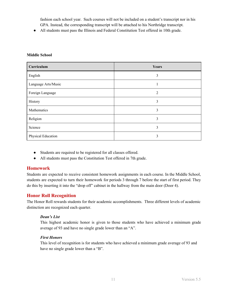fashion each school year. Such courses will not be included on a student's transcript nor in his GPA. Instead, the corresponding transcript will be attached to his Northridge transcript.

● All students must pass the Illinois and Federal Constitution Test offered in 10th grade.

| Curriculum          | Years |
|---------------------|-------|
| English             | 3     |
| Language Arts/Music |       |
| Foreign Language    | 2     |
| History             | 3     |
| Mathematics         | 3     |
| Religion            | 3     |
| Science             | 3     |
| Physical Education  | 3     |

#### **Middle School**

- Students are required to be registered for all classes offered.
- All students must pass the Constitution Test offered in 7th grade.

## **Homework**

Students are expected to receive consistent homework assignments in each course. In the Middle School, students are expected to turn their homework for periods 3 through 7 before the start of first period. They do this by inserting it into the "drop off" cabinet in the hallway from the main door (Door 4).

## **Honor Roll Recognition**

The Honor Roll rewards students for their academic accomplishments. Three different levels of academic distinction are recognized each quarter.

#### *Dean's List*

This highest academic honor is given to those students who have achieved a minimum grade average of 93 and have no single grade lower than an "A".

#### *First Honors*

This level of recognition is for students who have achieved a minimum grade average of 93 and have no single grade lower than a "B".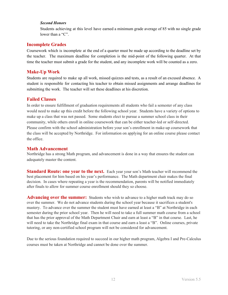#### *Second Honors*

Students achieving at this level have earned a minimum grade average of 85 with no single grade lower than a "C".

# <span id="page-11-0"></span>**Incomplete Grades**

Coursework which is incomplete at the end of a quarter must be made up according to the deadline set by the teacher. The maximum deadline for completion is the mid- point of the following quarter. At that time the teacher must submit a grade for the student, and any incomplete work will be counted as a zero.

# <span id="page-11-1"></span>**Make-Up Work**

Students are required to make up all work, missed quizzes and tests, as a result of an excused absence. A student is responsible for contacting his teacher to obtain missed assignments and arrange deadlines for submitting the work. The teacher will set these deadlines at his discretion.

#### <span id="page-11-2"></span>**Failed Classes**

In order to ensure fulfillment of graduation requirements all students who fail a semester of any class would need to make up this credit before the following school year. Students have a variety of options to make up a class that was not passed. Some students elect to pursue a summer school class in their community, while others enroll in online coursework that can be either teacher-led or self-directed. Please confirm with the school administration before your son's enrollment in make-up coursework that the class will be accepted by Northridge. For information on applying for an online course please contact the office.

## <span id="page-11-3"></span>**Math Advancement**

Northridge has a strong Math program, and advancement is done in a way that ensures the student can adequately master the content.

**Standard Route: one year to the next.** Each year your son's Math teacher will recommend the best placement for him based on his year's performance. The Math department chair makes the final decision. In cases where repeating a year is the recommendation, parents will be notified immediately after finals to allow for summer course enrollment should they so choose.

**Advancing over the summer:** Students who wish to advance to a higher math track may do so over the summer. We do not advance students during the school year because it sacrifices a student's mastery. To advance over the summer the student must have earned at least a "B" at Northridge in each semester during the prior school year. Then he will need to take a full summer math course from a school that has the prior approval of the Math Department Chair and earn at least a "B" in that course. Last, he will need to take the Northridge final exam in that course and earn a least a "B". Online courses, private tutoring, or any non-certified school program will not be considered for advancement.

Due to the serious foundation required to succeed in our higher math program, Algebra I and Pre-Calculus courses must be taken at Northridge and cannot be done over the summer.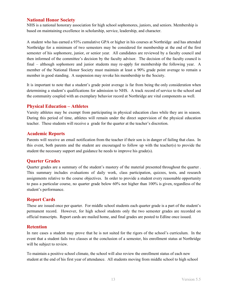## <span id="page-12-0"></span>**National Honor Society**

NHS is a national honorary association for high school sophomores, juniors, and seniors. Membership is based on maintaining excellence in scholarship, service, leadership, and character.

A student who has earned a 93% cumulative GPA or higher in his courses at Northridge and has attended Northridge for a minimum of two semesters may be considered for membership at the end of the first semester of his sophomore, junior, or senior year. All candidates are reviewed by a faculty council and then informed of the committee's decision by the faculty advisor. The decision of the faculty council is final – although sophomore and junior students may re-apply for membership the following year. A member of the National Honor Society must maintain at least a 90% grade point average to remain a member in good standing. A suspension may revoke his membership to the Society.

It is important to note that a student's grade point average is far from being the only consideration when determining a student's qualifications for admission to NHS. A track record of service to the school and the community coupled with an exemplary behavior record at Northridge are vital components as well.

## <span id="page-12-1"></span>**Physical Education – Athletes**

Varsity athletes may be exempt from participating in physical education class while they are in season. During this period of time, athletes will remain under the direct supervision of the physical education teacher. These students will receive a grade for the quarter at the teacher's discretion.

## <span id="page-12-2"></span>**Academic Reports**

Parents will receive an email notification from the teacher if their son is in danger of failing that class. In this event, both parents and the student are encouraged to follow up with the teacher( $s$ ) to provide the student the necessary support and guidance he needs to improve his grade(s).

## <span id="page-12-3"></span>**Quarter Grades**

Quarter grades are a summary of the student's mastery of the material presented throughout the quarter. This summary includes evaluations of daily work, class participation, quizzes, tests, and research assignments relative to the course objectives. In order to provide a student every reasonable opportunity to pass a particular course, no quarter grade below 60% nor higher than 100% is given, regardless of the student's performance.

# <span id="page-12-4"></span>**Report Cards**

These are issued once per quarter. For middle school students each quarter grade is a part of the student's permanent record. However, for high school students only the two semester grades are recorded on official transcripts. Report cards are mailed home, and final grades are posted to Edline once issued.

## <span id="page-12-5"></span>**Retention**

In rare cases a student may prove that he is not suited for the rigors of the school's curriculum. In the event that a student fails two classes at the conclusion of a semester, his enrollment status at Northridge will be subject to review.

To maintain a positive school climate, the school will also review the enrollment status of each new student at the end of his first year of attendance. All students moving from middle school to high school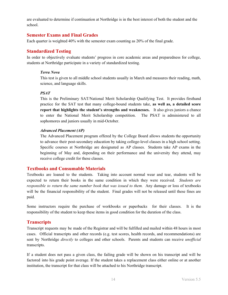are evaluated to determine if continuation at Northridge is in the best interest of both the student and the school.

#### <span id="page-13-0"></span>**Semester Exams and Final Grades**

Each quarter is weighted 40% with the semester exam counting as 20% of the final grade.

# <span id="page-13-1"></span>**Standardized Testing**

In order to objectively evaluate students' progress in core academic areas and preparedness for college, students at Northridge participate in a variety of standardized testing.

#### *Terra Nova*

This test is given to all middle school students usually in March and measures their reading, math, science, and language skills.

#### *PSAT*

This is the Preliminary SAT/National Merit Scholarship Qualifying Test. It provides firsthand practice for the SAT test that many college-bound students take, as well as, a detailed score **report that highlights the student's strengths and weaknesses.** It also gives juniors a chance to enter the National Merit Scholarship competition. The PSAT is administered to all sophomores and juniors usually in mid-October.

#### *Advanced Placement (AP)*

The Advanced Placement program offered by the College Board allows students the opportunity to advance their post-secondary education by taking college-level classes in a high school setting. Specific courses at Northridge are designated as AP classes. Students take AP exams in the beginning of May and, depending on their performance and the university they attend, may receive college credit for these classes.

## <span id="page-13-2"></span>**Textbooks and Consumable Materials**

Textbooks are loaned to the students. Taking into account normal wear and tear, students will be expected to return their books in the same condition in which they were received. Students are *responsible to return the same number book that was issued to them.* Any damage or loss of textbooks will be the financial responsibility of the student. Final grades will not be released until these fines are paid.

Some instructors require the purchase of workbooks or paperbacks for their classes. It is the responsibility of the student to keep these items in good condition for the duration of the class.

## <span id="page-13-3"></span>**Transcripts**

Transcript requests may be made of the Registrar and will be fulfilled and mailed within 48 hours in most cases. Official transcripts and other records (e.g. test scores, health records, and recommendations) are sent by Northridge *directly* to colleges and other schools. Parents and students can receive *unofficial* transcripts.

If a student does not pass a given class, the failing grade will be shown on his transcript and will be factored into his grade point average. If the student takes a replacement class either online or at another institution, the transcript for that class will be attached to his Northridge transcript.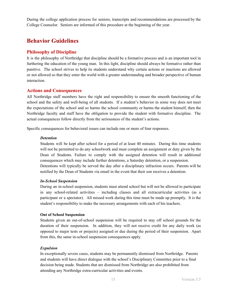During the college application process for seniors, transcripts and recommendations are processed by the College Counselor. Seniors are informed of this procedure at the beginning of the year.

# <span id="page-14-0"></span>**Behavior Guidelines**

# <span id="page-14-1"></span>**Philosophy of Discipline**

It is the philosophy of Northridge that discipline should be a formative process and is an important tool in furthering the education of the young man. In this light, discipline should always be formative rather than punitive. The school strives to help its students understand why certain actions or inactions are allowed or not allowed so that they enter the world with a greater understanding and broader perspective of human interaction.

## <span id="page-14-2"></span>**Actions and Consequences**

All Northridge staff members have the right and responsibility to ensure the smooth functioning of the school and the safety and well-being of all students. If a student's behavior in some way does not meet the expectations of the school and so harms the school community or harms the student himself, then the Northridge faculty and staff have the obligation to provide the student with formative discipline. The actual consequences follow directly from the seriousness of the student's actions.

Specific consequences for behavioral issues can include one or more of four responses.

#### *Detention*

Students will be kept after school for a period of at least 40 minutes. During this time students will not be permitted to do any schoolwork and must complete an assignment or duty given by the Dean of Students. Failure to comply with the assigned detention will result in additional consequences which may include further detentions, a Saturday detention, or a suspension. Detentions will typically be served the day after a disciplinary infraction occurs. Parents will be notified by the Dean of Students via email in the event that their son receives a detention.

#### *In-School Suspension*

During an in-school suspension, students must attend school but will not be allowed to participate in any school-related activities – including classes and all extracurricular activities (as a participant or a spectator). All missed work during this time must be made up promptly. It is the student's responsibility to make the necessary arrangements with each of his teachers.

#### **Out of School Suspension**

Students given an out-of-school suspension will be required to stay off school grounds for the duration of their suspension. In addition, they will not receive credit for any daily work (as opposed to major tests or projects) assigned or due during the period of their suspension. Apart from this, the same in-school suspension consequences apply.

#### *Expulsion*

In exceptionally severe cases, students may be permanently dismissed from Northridge. Parents and students will have direct dialogue with the school's Disciplinary Committee prior to a final decision being made. Students that are dismissed from Northridge are also prohibited from attending any Northridge extra-curricular activities and events.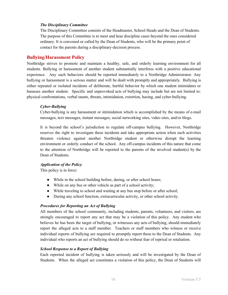#### *The Disciplinary Committee*

The Disciplinary Committee consists of the Headmaster, School Heads and the Dean of Students. The purpose of this Committee is to meet and hear discipline cases beyond the ones considered ordinary. It is convened or called by the Dean of Students, who will be the primary point of contact for the parents during a disciplinary-decision process.

#### <span id="page-15-0"></span>**Bullying/Harassment Policy**

Northridge strives to promote and maintain a healthy, safe, and orderly learning environment for all students. Bullying or harassment of another student substantially interferes with a positive educational experience. Any such behaviors should be reported immediately to a Northridge Administrator. Any bullying or harassment is a serious matter and will be dealt with promptly and appropriately. Bullying is either repeated or isolated incidents of deliberate, hurtful behavior by which one student intimidates or harasses another student. Specific and unprovoked acts of bullying may include but are not limited to: physical confrontations, verbal taunts, threats, intimidation, extortion, hazing, and cyber-bullying.

#### *Cyber-Bullying*

Cyber-bullying is any harassment or intimidation which is ac complished by the means of e-mail messages, text messages, instant messages, social networking sites, video sites, and/or blogs.

It is beyond the school's jurisdiction to regulate off-campus bullying. However, Northridge reserves the right to investigate these incidents and take appropriate action when such activities threaten violence against another Northridge student or otherwise disrupt the learning environment or orderly conduct of the school. Any off-campus incidents of this nature that come to the attention of Northridge will be reported to the parents of the involved student(s) by the Dean of Students.

#### *Application of the Policy*

This policy is in force:

- While in the school building before, during, or after school hours;
- While on any bus or other vehicle as part of a school activity;
- While traveling to school and waiting at any bus stop before or after school;
- During any school function, extracurricular activity, or other school activity.

#### *Procedures for Reporting an Act of Bullying*

All members of the school community, including students, parents, volunteers, and visitors, are strongly encouraged to report any act that may be a violation of this policy. Any student who believes he has been the target of bullying, or witnesses any acts of bullying, should immediately report the alleged acts to a staff member. Teachers or staff members who witness or receive individual reports of bullying are required to promptly report these to the Dean of Students. Any individual who reports an act of bullying should do so without fear of reprisal or retaliation.

#### *School Response to a Report of Bullying*

Each reported incident of bullying is taken seriously and will be investigated by the Dean of Students. When the alleged act constitutes a violation of this policy, the Dean of Students will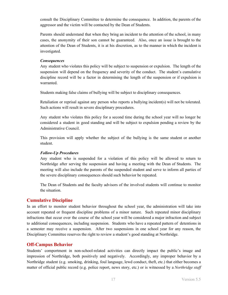consult the Disciplinary Committee to determine the consequence. In addition, the parents of the aggressor and the victim will be contacted by the Dean of Students.

Parents should understand that when they bring an incident to the attention of the school, in many cases, the anonymity of their son cannot be guaranteed. Also, once an issue is brought to the attention of the Dean of Students, it is at his discretion, as to the manner in which the incident is investigated.

#### *Consequences*

Any student who violates this policy will be subject to suspension or expulsion. The length of the suspension will depend on the frequency and severity of the conduct. The student's cumulative discipline record will be a factor in determining the length of the suspension or if expulsion is warranted.

Students making false claims of bullying will be subject to disciplinary consequences.

Retaliation or reprisal against any person who reports a bullying incident(s) will not be tolerated. Such actions will result in severe disciplinary procedures.

Any student who violates this policy for a second time during the school year will no longer be considered a student in good standing and will be subject to expulsion pending a review by the Administrative Council.

This provision will apply whether the subject of the bullying is the same student or another student.

#### *Follow-Up Procedures*

Any student who is suspended for a violation of this policy will be allowed to return to Northridge after serving the suspension and having a meeting with the Dean of Students. The meeting will also include the parents of the suspended student and serve to inform all parties of the severe disciplinary consequences should such behavior be repeated.

The Dean of Students and the faculty advisors of the involved students will continue to monitor the situation.

## <span id="page-16-0"></span>**Cumulative Discipline**

In an effort to monitor student behavior throughout the school year, the administration will take into account repeated or frequent discipline problems of a minor nature. Such repeated minor disciplinary infractions that occur over the course of the school year will be considered a major infraction and subject to additional consequences, including suspension. Students who have a repeated pattern of detentions in a semester may receive a suspension. After two suspensions in one school year for any reason, the Disciplinary Committee reserves the right to review a student's good standing at Northridge.

#### <span id="page-16-1"></span>**Off-Campus Behavior**

Students' comportment in non-school-related activities can directly impact the public's image and impression of Northridge, both positively and negatively. Ac cordingly, any improper behavior by a Northridge student (e.g. smoking, drinking, foul language, lewd conduct, theft, etc.) that either becomes a matter of official public record (e.g. police report, news story, etc.) or is witnessed by a *Northridge staff*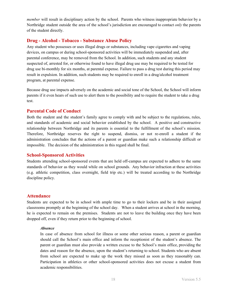*member* will result in disciplinary action by the school. Parents who witness inappropriate behavior by a Northridge student outside the area of the school's jurisdiction are encouraged to contact *only* the parents of the student directly.

# <span id="page-17-0"></span>**Drug - Alcohol - Tobacco - Substance Abuse Policy**

Any student who possesses or uses illegal drugs or substances, including vape cigarettes and vaping devices, on campus or during school-sponsored activities will be immediately suspended and, after parental conference, may be removed from the School. In addition, such students and any student suspected of, arrested for, or otherwise found to have illegal drug use may be required to be tested for drug use bi-monthly for six months, at parental expense. Failure to pass a drug test during this period may result in expulsion. In addition, such students may be required to enroll in a drug/alcohol treatment program, at parental expense.

Because drug use impacts adversely on the academic and social tone of the School, the School will inform parents if it even hears of such use to alert them to the possibility and to require the student to take a drug test.

## <span id="page-17-1"></span>**Parental Code of Conduct**

Both the student and the student's family agree to comply with and be subject to the regulations, rules, and standards of academic and social behavior established by the school. A positive and constructive relationship between Northridge and its parents is essential to the fulfillment of the school's mission. Therefore, Northridge reserves the right to suspend, dismiss, or not re-enroll a student if the administration concludes that the actions of a parent or guardian make such a relationship difficult or impossible. The decision of the administration in this regard shall be final.

#### <span id="page-17-2"></span>**School-Sponsored Activities**

Students attending school-sponsored events that are held off-campus are expected to adhere to the same standards of behavior as they would while on school grounds. Any behavior infraction at these activities (e.g. athletic competition, class overnight, field trip etc.) will be treated according to the Northridge discipline policy.

#### <span id="page-17-3"></span>**Attendance**

Students are expected to be in school with ample time to go to their lockers and be in their assigned classrooms promptly at the beginning of the school day. When a student arrives at school in the morning, he is expected to remain on the premises. Students are not to leave the building once they have been dropped off, even if they return prior to the beginning of school.

#### *Absence*

In case of absence from school for illness or some other serious reason, a parent or guardian should call the School's main office and inform the receptionist of the student's absence. The parent or guardian must also provide a written excuse to the School's main office, providing the dates and reason for the absence, upon the student's returning to school. Students who are absent from school are expected to make up the work they missed as soon as they reasonably can. Participation in athletics or other school-sponsored activities does not excuse a student from academic responsibilities.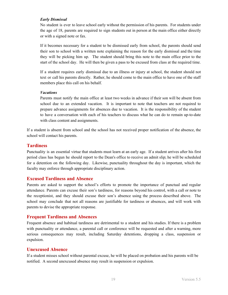#### *Early Dismissal*

No student is ever to leave school early without the permission of his parents. For students under the age of 18, parents are required to sign students out in person at the main office either directly or with a signed note or fax.

If it becomes necessary for a student to be dismissed early from school, the parents should send their son to school with a written note explaining the reason fo r the early dismissal and the time they will be picking him up. The student should bring this note to the main office prior to the start of the school day. He will then be given a pass to be excused from class at the required time.

If a student requires early dismissal due to an illness or injury at school, the student should not text or call his parents directly. Rather, he should come to the main office to have one of the staff members place this call on his behalf.

#### *Vacations*

Parents must notify the main office at least two weeks in advance if their son will be absent from school due to an extended vacation. It is important to note that teachers are not required to prepare advance assignments for absences due to vacation. I t is the responsibility of the student to have a conversation with each of his teachers to discuss what he can do to remain up-to-date with class content and assignments.

If a student is absent from school and the school has not received proper notification of the absence, the school will contact his parents.

## <span id="page-18-0"></span>**Tardiness**

Punctuality is an essential virtue that students must learn at an early age. If a student arrives after his first period class has begun he should report to the Dean's office to receive an admit slip; he will be scheduled for a detention on the following day. Likewise, punctuality throughout the day is important, which the faculty may enforce through appropriate disciplinary action.

#### <span id="page-18-1"></span>**Excused Tardiness and Absence**

Parents are asked to support the school's efforts to promote the importance of punctual and regular attendance. Parents can excuse their son's tardiness, for reasons beyond his control, with a call or note to the receptionist, and they should excuse their son's absence using the process described above. The school may conclude that not all reasons are justifiable for tardiness or absences, and will work with parents to devise the appropriate response.

## <span id="page-18-2"></span>**Frequent Tardiness and Absences**

Frequent absence and habitual tardiness are detrimental to a student and his studies. If there is a problem with punctuality or attendance, a parental call or conference will be requested and after a warning, more serious consequences may result, including Saturday detentions, dropping a class, suspension or expulsion.

## <span id="page-18-3"></span>**Unexcused Absence**

If a student misses school without parental excuse, he will be placed on probation and his parents will be notified. A second unexcused absence may result in suspension or expulsion.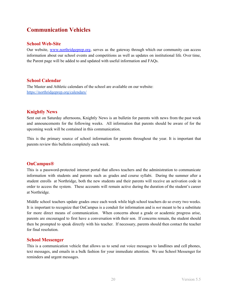# <span id="page-19-0"></span>**Communication Vehicles**

# <span id="page-19-1"></span>**School Web-Site**

Our website, [www.northridgeprep.org](http://www.northridgeprep.org/), serves as the gateway through which our community can access information about our school events and competitions as well as updates on institutional life. Over time, the Parent page will be added to and updated with useful information and FAQs.

# <span id="page-19-2"></span>**School Calendar**

The Master and Athletic calendars of the school are available on our website: <https://northridgeprep.org/calendars/>

# <span id="page-19-3"></span>**Knightly News**

Sent out on Saturday afternoons, Knightly News is an bulletin for parents with news from the past week and announcements for the following weeks. All information that parents should be aware of for the upcoming week will be contained in this communication.

This is the primary source of school information for parents throughout the year. It is important that parents review this bulletin completely each week.

## <span id="page-19-4"></span>**OnCampus®**

This is a password-protected internet portal that allows teachers and the administration to communicate information with students and parents such as grades and course syllabi. During the summer after a student enrolls at Northridge, both the new students and their parents will receive an activation code in order to access the system. These accounts will remain active during the duration of the student's career at Northridge.

Middle school teachers update grades once each week while high school teachers do so every two weeks. It is important to recognize that OnCampus is a conduit for information and is *not* meant to be a substitute for more direct means of communication. When concerns about a grade or academic progress arise, parents are encouraged to first have a conversation with their son. If concerns remain, the student should then be prompted to speak directly with his teacher. If necess ary, parents should then contact the teacher for final resolution.

## <span id="page-19-5"></span>**School Messenger**

This is a communication vehicle that allows us to send out voice messages to landlines and cell phones, text messages, and emails in a bulk fashion for your immediate attention. We use School Messenger for reminders and urgent messages.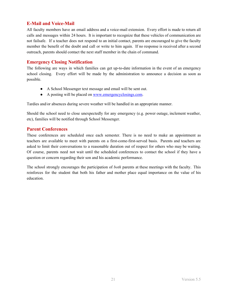# <span id="page-20-0"></span>**E-Mail and Voice-Mail**

All faculty members have an email address and a voice-mail extension. Every effort is made to return all calls and messages within 24 hours. It is important to recognize that these vehicles of communication are not failsafe. If a teacher does not respond to an initial contact, parents are encouraged to give the faculty member the benefit of the doubt and call or write to him again. If no response is received after a second outreach, parents should contact the next staff member in the chain of command.

# <span id="page-20-1"></span>**Emergency Closing Notification**

The following are ways in which families can get up-to-date information in the event of an emergency school closing. Every effort will be made by the administration to announce a decision as soon as possible.

- A School Messenger text message and email will be sent out.
- A posting will be placed on [www.emergencyclosings.com](http://www.emergencyclosings.com/).

Tardies and/or absences during severe weather will be handled in an appropriate manner.

Should the school need to close unexpectedly for any emergency (e.g. power outage, inclement weather, etc), families will be notified through School Messenger.

## <span id="page-20-2"></span>**Parent Conferences**

These conferences are scheduled once each semester. There is no need to make an appointment as teachers are available to meet with parents on a first-come-first-served basis. Parents and teachers are asked to limit their conversations to a reasonable duration out of respect for others who may be waiting. Of course, parents need not wait until the scheduled conferences to contact the school if they have a question or concern regarding their son and his academic performance.

The school strongly encourages the participation of *both* parents at these meetings with the faculty. This reinforces for the student that both his father and mother place equal importance on the value of his education.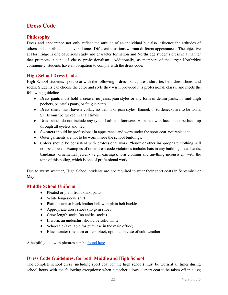# <span id="page-21-0"></span>**Dress Code**

# <span id="page-21-1"></span>**Philosophy**

Dress and appearance not only reflect the attitude of an individual but also influence the attitudes of others and contribute to an overall tone. Different situations warrant different appearances. The objective at Northridge is one of serious study and character formation and Northridge students dress in a manner that promotes a tone of classy professionalism. Additionally, as members of the larger Northridge community, students have an obligation to comply with the dress code.

# <span id="page-21-2"></span>**High School Dress Code**

High School students: sport coat with the following – dress pants , dress shirt, tie, belt, dress shoes, and socks. Students can choose the color and style they wish, provided it is professional, classy, and meets the following guidelines:

- Dress pants must hold a crease; no jeans, jean styles or any form of denim pants; no mid-thigh pockets, painter's pants, or fatigue pants.
- Dress shirts must have a collar; no denim or jean styles, flannel, or turtlenecks are to be worn. Shirts must be tucked in at all times.
- Dress shoes do not include any type of athletic footwear. All shoes with laces must be laced up through all eyelets and tied.
- Sweaters should be professional in appearance and worn under the sport coat, not replace it.
- Outer garments are not to be worn inside the school buildings.
- Colors should be consistent with professional work; "loud" or other inappropriate clothing will not be allowed. Examples of other dress code violations include: hats in any building, head bands, bandanas, ornamental jewelry  $(e.g., \text{earrings})$ , torn clothing and anything inconsistent with the tone of this policy, which is one of professional work.

Due to warm weather, High School students are not required to wear their sport coats in September or May.

## <span id="page-21-3"></span>**Middle School Uniform**

- Pleated or plain front khaki pants
- White long-sleeve shirt
- Plain brown or black leather belt with plain belt buckle
- Appropriate dress shoes (no gym shoes)
- Crew-length socks (no ankles socks)
- If worn, an undershirt should be solid white
- School tie (available for purchase in the main office)
- Blue sweater (medium or dark blue), optional in case of cold weather

A helpful guide with pictures can be [found here](https://northridgeprep.org/wp-content/uploads/2019/06/NRP-MS-Uniform.pdf).

# <span id="page-21-4"></span>**Dress Code Guidelines, for both Middle and High School**

The complete school dress (including sport coat for the high school) must be worn at all times during school hours with the following exceptions: when a teacher allows a sport coat to be taken off in class;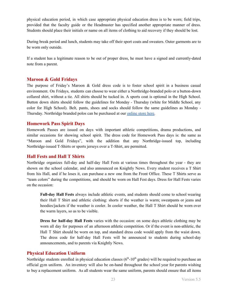physical education period, in which case appropriate physical education dress is to be worn; field trips, provided that the faculty guide or the Headmaster has specified another appropriate manner of dress. Students should place their initials or name on all items of clothing to aid recovery if they should be lost.

During break period and lunch, students may take off their sport coats and sweaters. Outer garments are to be worn only outside.

If a student has a legitimate reason to be out of proper dress, he must have a signed and currently-dated note from a parent.

## <span id="page-22-0"></span>**Maroon & Gold Fridays**

The purpose of Friday's Maroon  $\&$  Gold dress code is to foster school spirit in a business casual environment. On Fridays, students can choose to wear either a Northridge-branded polo or a button-down collared shirt, without a tie. All shirts should be tucked in. A sports coat is optional in the High School. Button down shirts should follow the guidelines for Monday - Thursday (white for Middle School, any color for High School). Belt, pants, shoes and socks should follow the same guidelines as Monday -Thursday. Northridge branded polos can be purchased at our [online store here.](https://sideline.bsnsports.com/schools/illinois/niles/northridge-prepatory-school)

#### <span id="page-22-1"></span>**Homework Pass Spirit Days**

Homework Passes are issued on days with important athletic competitions, drama productions, and similar occasions for showing school spirit. The dress code for Homework Pass days is: the same as "Maroon and Gold Fridays", with the addition that any Northridge -issued top, including Northridge-issued T-Shirts or sports jerseys over a T-Shirt, are permitted.

## <span id="page-22-2"></span>**Hall Fests and Hall T Shirts**

Northridge organizes full-day and half-day Hall Fests at various times throughout the year - they are shown on the school calendar, and also announced on Knightly News . Every student receives a T Shirt from his Hall, and if he loses it, can purchase a new one from the Front Office. These T Shirts serve as "team colors" during the competitions, and should be worn on Hall Fest days. Dress for Hall Fests varies on the occasion:

**Full-day Hall Fests** always include athletic events, and students should come to school wearing their Hall T Shirt and athletic clothing: shorts if the weather is warm; sweatpants or jeans and hoodies/jackets if the weather is cooler. In cooler weather, the Hall T Shirt should be worn over the warm layers, so as to be visible.

**Dress for half-day Hall Fests** varies with the occasion: on some days athletic clothing may be worn all day for purposes of an afternoon athletic competition. Or if the event is non-athletic, the Hall T Shirt should be worn on top, and standard dress code would apply from the waist down. The dress code for half-day Hall Fests will be announced to students during school-day announcements, and to parents via Knightly News.

#### <span id="page-22-3"></span>**Physical Education Uniform**

Northridge students enrolled in physical education classes  $(6<sup>th</sup>-10<sup>th</sup>$  grades) will be required to purchase an official gym uniform. An inventory will also be on-hand throughout the school year for parents wishing to buy a replacement uniform. As all students wear the same uniform, parents should ensure that all items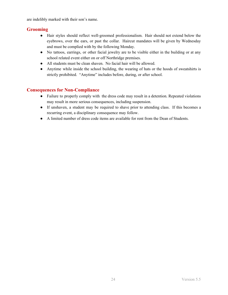are indelibly marked with their son's name.

# <span id="page-23-0"></span>**Grooming**

- Hair styles should reflect well-groomed professionalism. Hair should not extend below the eyebrows, over the ears, or past the collar. Haircut mandates will be given by Wednesday and must be complied with by the following Monday.
- No tattoos, earrings, or other facial jewelry are to be visible either in the building or at any school related event either on or off Northridge premises.
- All students must be clean shaven. No facial hair will be allowed.
- Anytime while inside the school building, the wearing of hats or the hoods of sweatshirts is strictly prohibited. "Anytime" includes before, during, or after school.

# <span id="page-23-1"></span>**Consequences for Non-Compliance**

- Failure to properly comply with the dress code may result in a detention. Repeated violations may result in more serious consequences, including suspension.
- If unshaven, a student may be required to shave prior to attending class. If this becomes a recurring event, a disciplinary consequence may follow.
- A limited number of dress code items are available for rent from the Dean of Students.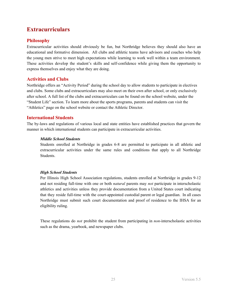# <span id="page-24-0"></span>**Extracurriculars**

# <span id="page-24-1"></span>**Philosophy**

Extracurricular activities should obviously be fun, but Northridge believes they should also have an educational and formative dimension. All clubs and athletic teams have advisors and coaches who help the young men strive to meet high expectations while learning to work well within a team environment. These activities develop the student's skills and self-confidence while giving them the opportunity to express themselves and enjoy what they are doing.

# **Activities and Clubs**

Northridge offers an "Activity Period" during the school day to allow students to participate in electives and clubs. Some clubs and extracurriculars may also meet on their own after school, or only exclusively after school. A full list of the clubs and extracurriculars can be found on the school website, under the "Student Life" section. To learn more about the sports programs, parents and students can visit the "Athletics" page on the school website or contact the Athletic Director.

# <span id="page-24-2"></span>**International Students**

The by-laws and regulations of various local and state entities have established practices that govern the manner in which international students can participate in extracurricular activities.

#### *Middle School Students*

Students enrolled at Northridge in grades 6-8 are permitted to participate in all athletic and extracurricular activities under the same rules and conditions that apply to all Northridge Students.

#### *High School Students*

Per Illinois High School Association regulations, students enrolled at Northridge in grades 9-12 and not residing full-time with one or both *natural* parents may *not* participate in interscholastic athletics and activities unless they provide documentation from a United States court indicating that they reside full-time with the court-appointed custodial parent or legal guardian. In all cases Northridge must submit such court documentation and proof of residence to the IHSA for an eligibility ruling.

These regulations do *not* prohibit the student from participating in *non*-interscholastic activities such as the drama, yearbook, and newspaper clubs.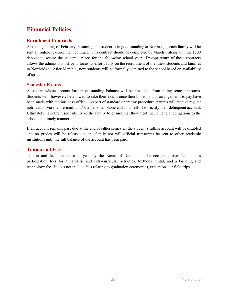# <span id="page-25-0"></span>**Financial Policies**

# <span id="page-25-1"></span>**Enrollment Contracts**

At the beginning of February, assuming the student is in good standing at Northridge, each family will be sent an online re-enrollment contract. This contract should be completed by March 1 along with the \$500 deposit to secure the student's place for the following school year. Prompt return of these contracts allows the admissions office to focus its efforts fully on the recruitment of the finest students and families to Northridge. After March 1, new students will be formally admitted to the school based on availability of space.

#### <span id="page-25-2"></span>**Semester Exams**

A student whose account has an outstanding balance will be precluded from taking semester exams. Students will, however, be allowed to take their exams once their bill is paid or arrangements to pay have been made with the business office. As part of standard operating procedure, parents will receive regular notification via mail, e-mail, and/or a personal phone call in an effort to rectify their delinquent account. Ultimately, it is the responsibility of the family to ensure that they meet their financial obligations to the school in a timely manner.

If an account remains past due at the end of either semester, the student's Edline account will be disabled and no grades will be released to the family nor will official transcripts be sent to other academic institutions until the full balance of the account has been paid.

# <span id="page-25-3"></span>**Tuition and Fees**

Tuition and fees are set each year by the Board of Directors. The comprehensive fee includes participation fees for all athletic and extracurricular activities, textbook rental, and a building and technology fee. It does not include fees relating to graduation ceremonies, excursions, or field trips.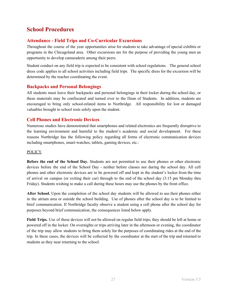# <span id="page-26-0"></span>**School Procedures**

# <span id="page-26-1"></span>**Attendance - Field Trips and Co-Curricular Excursions**

Throughout the course of the year opportunities arise for stu dents to take advantage of special exhibits or programs in the Chicagoland area. Other excursions are for the purpose of providing the young men an opportunity to develop camaraderie among their peers.

Student conduct on any field trip is expected to be consistent with school regulations. The general school dress code applies to all school activities including field trips. The specific dress for the excursion will be determined by the teacher coordinating the event.

# <span id="page-26-2"></span>**Backpacks and Personal Belongings**

All students must leave their backpacks and personal belongings in their locker during the school day, or these materials may be confiscated and turned over to the Dean of Students. In addition, students are encouraged to bring only school-related items to Northridge . All responsibility for lost or damaged valuables brought to school rests solely upon the student.

# <span id="page-26-3"></span>**Cell Phones and Electronic Devices**

Numerous studies have demonstrated that smartphones and related electronics are frequently disruptive to the learning environment and harmful to the student's academic and social development. For these reasons Northridge has the following policy regarding all forms of electronic communication devices including smartphones, smart-watches, tablets, gaming devices, etc.:

#### **POLICY**

**Before the end of the School Day.** Students are not permitted to use their phones or other electronic devices before the end of the School Day - neither before classe s nor during the school day. All cell phones and other electronic devices are to be powered off and kept in the student's locker from the time of arrival on campus (or exiting their car) through to the end of the school day (3:15 pm Monday thru Friday). Students wishing to make a call during these hours may use the phones by the front office.

**After School.** Upon the completion of the school day students will be allowed to use their phones either in the atrium area or outside the school building. Use of phones after the school day is to be limited to brief communication. If Northridge faculty observe a student using a cell phone after the school day for purposes beyond brief communication, the consequences listed below apply.

**Field Trips.** Use of these devices will not be allowed on regular field trips; they should be left at home or powered off in the locker. On overnights or trips arriving later in the afternoon or evening, the coordinator of the trip may allow students to bring them solely for the pur poses of coordinating rides at the end of the trip. In these cases, the devices will be collected by the coordinator at the start of the trip and returned to students as they near returning to the school.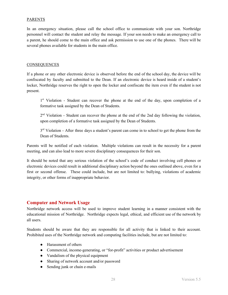#### PARENTS

In an emergency situation, please call the school office to communicate with your son. Northridge personnel will contact the student and relay the message. If y our son needs to make an emergency call to a parent, he should come to the main office and ask permission to use one of the phones. There will be several phones available for students in the main office.

#### **CONSEQUENCES**

If a phone or any other electronic device is observed before the end of the school day, the device will be confiscated by faculty and submitted to the Dean. If an electronic device is heard inside of a student's locker, Northridge reserves the right to open the locker and confiscate the item even if the student is not present.

1<sup>st</sup> Violation - Student can recover the phone at the end of the day, upon completion of a formative task assigned by the Dean of Students.

2<sup>nd</sup> Violation - Student can recover the phone at the end of the 2nd day following the violation, upon completion of a formative task assigned by the Dean of Students.

3<sup>rd</sup> Violation - After three days a student's parent can come in to school to get the phone from the Dean of Students.

Parents will be notified of each violation. Multiple violations can result in the necessity for a parent meeting, and can also lead to more severe disciplinary consequences for their son.

It should be noted that any serious violation of the school's code of conduct involving cell phones or electronic devices could result in additional disciplinary action beyond the ones outlined above, even for a first or second offense. These could include, but are not limited to: bullying, violations of academic integrity, or other forms of inappropriate behavior.

## <span id="page-27-0"></span>**Computer and Network Usage**

Northridge network access will be used to improve student learning in a manner consistent with the educational mission of Northridge. Northridge expects legal, ethical, and efficient use of the network by all users.

Students should be aware that they are responsible for all activity that is linked to their account. Prohibited uses of the Northridge network and computing facilities include, but are not limited to:

- Harassment of others
- Commercial, income-generating, or "for-profit" activities or product advertisement
- Vandalism of the physical equipment
- Sharing of network account and/or password
- Sending junk or chain e-mails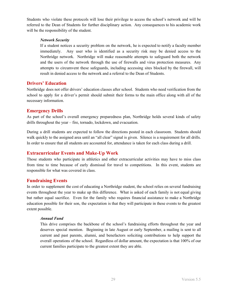Students who violate these protocols will lose their privilege to access the school's network and will be referred to the Dean of Students for further disciplinary action. Any consequences to his academic work will be the responsibility of the student.

#### *Network Security*

If a student notices a security problem on the network, he is ex pected to notify a faculty member immediately. Any user who is identified as a security risk may be denied access to the Northridge network. Northridge will make reasonable attempts to safeguard both the network and the users of the network through the use of firewalls and virus protection measures. Any attempts to circumvent these safeguards, including accessing sites blocked by the firewall, will result in denied access to the network and a referral to the Dean of Students.

## <span id="page-28-0"></span>**Drivers' Education**

Northridge does not offer drivers' education classes after school. Students who need verification from the school to apply for a driver's permit should submit their forms to the main office along with all of the necessary information.

## <span id="page-28-1"></span>**Emergency Drills**

As part of the school's overall emergency preparedness plan, Northridge holds several kinds of safety drills throughout the year – fire, tornado, lockdown, and evacuation.

During a drill students are expected to follow the directions posted in each classroom. Students should walk quickly to the assigned area until an "all clear" signal is given. Silence is a requirement for all drills. In order to ensure that all students are accounted for, attendance is taken for each class during a drill.

# <span id="page-28-2"></span>**Extracurricular Events and Make-Up Work**

Those students who participate in athletics and other extracurricular activities may have to miss class from time to time because of early dismissal for travel to competitions. In this event, students are responsible for what was covered in class.

## <span id="page-28-3"></span>**Fundraising Events**

In order to supplement the cost of educating a Northridge student, the school relies on several fundraising events throughout the year to make up this difference. What is asked of each family is not equal giving but rather equal sacrifice. Even for the family who requires financial assistance to make a Northridge education possible for their son, the expectation is that they will participate in these events to the greatest extent possible.

#### *Annual Fund*

This drive comprises the backbone of the school's fundraising efforts throughout the year and deserves special mention. Beginning in late August or early September, a mailing is sent to all current and past parents, alumni, and benefactors soliciting contributions to help support the overall operations of the school. Regardless of dollar amount, the expectation is that 100% of our current families participate to the greatest extent they are able.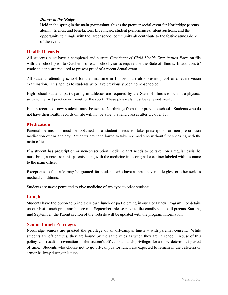#### *Dinner at the 'Ridge*

Held in the spring in the main gymnasium, this is the premier social event for Northridge parents, alumni, friends, and benefactors. Live music, student performances, silent auctions, and the opportunity to mingle with the larger school community all contribute to the festive atmosphere of the event.

#### <span id="page-29-0"></span>**Health Records**

All students must have a completed and current *Certificate of Child Health Examination Form* on file with the school prior to October 1 of each school year as required by the State of Illinois. In addition,  $6<sup>th</sup>$ grade students are required to present proof of a recent dental exam.

All students attending school for the first time in Illinois must also present proof of a recent vision examination. This applies to students who have previously been home-schooled.

High school students participating in athletics are required by the State of Illinois to submit a physical *prior* to the first practice or tryout for the sport. These physicals must be renewed yearly.

Health records of new students must be sent to Northridge from their previous school. Students who do not have their health records on file will not be able to attend classes after October 15.

## <span id="page-29-1"></span>**Medication**

Parental permission must be obtained if a student needs to take prescription or non-prescription medication during the day. Students are not allowed to take *any* medicine without first checking with the main office.

If a student has prescription or non-prescription medicine that needs to be taken on a regular basis, he must bring a note from his parents along with the medicine in its original container labeled with his name to the main office.

Exceptions to this rule may be granted for students who have as thma, severe allergies, or other serious medical conditions.

Students are never permitted to give medicine of any type to other students.

#### <span id="page-29-2"></span>**Lunch**

Students have the option to bring their own lunch or participating in our Hot Lunch Program. For details on our Hot Lunch program: before mid-September, please refer to the emails sent to all parents. Starting mid September, the Parent section of the website will be updated with the program information.

#### <span id="page-29-3"></span>**Senior Lunch Privileges**

Northridge seniors are granted the privilege of an off-campus lunch  $-$  with parental consent. While students are off campus, they are bound by the same rules as when they are in school. Abuse of this policy will result in revocation of the student's off-campus lunch privileges for a to-be-determined period of time. Students who choose not to go off-campus for lunch are expected to remain in the cafeteria or senior hallway during this time.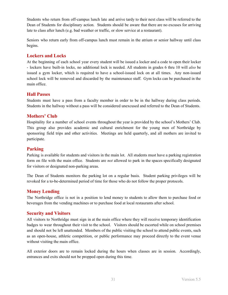Students who return from off-campus lunch late and arrive tardy to their next class will be referred to the Dean of Students for disciplinary action. Students should be aware that there are no excuses for arriving late to class after lunch (e.g. bad weather or traffic, or slow service at a restaurant).

Seniors who return early from off-campus lunch must remain in the atrium or senior hallway until class begins.

#### <span id="page-30-0"></span>**Lockers and Locks**

At the beginning of each school year every student will be issued a locker and a code to open their locker - lockers have built-in locks, no additional lock is needed. All students in grades 6 thru 10 will *also* be issued a gym locker, which is required to have a school-issued lock on at all times. Any non-issued school lock will be removed and discarded by the maintenance s taff. Gym locks can be purchased in the main office.

#### <span id="page-30-1"></span>**Hall Passes**

Students must have a pass from a faculty member in order to be in the hallway during class periods. Students in the hallway without a pass will be considered unexcused and referred to the Dean of Students.

## <span id="page-30-2"></span>**Mothers' Club**

Hospitality for a number of school events throughout the year is provided by the school's Mothers' Club. This group also provides academic and cultural enrichment for the young men of Northridge by sponsoring field trips and other activities. Meetings are held quarterly, and all mothers are invited to participate.

# <span id="page-30-3"></span>**Parking**

Parking is available for students and visitors in the main lot. All students must have a parking registration form on file with the main office. Students are *not* allowed to park in the spaces specifically designated for visitors or designated non-parking areas.

The Dean of Students monitors the parking lot on a regular basis. Student parking privileges will be revoked for a to-be-determined period of time for those who do not follow the proper protocols.

## <span id="page-30-4"></span>**Money Lending**

The Northridge office is not in a position to lend money to students to allow them to purchase food or beverages from the vending machines or to purchase food at local restaurants after school.

#### <span id="page-30-5"></span>**Security and Visitors**

All visitors to Northridge must sign in at the main office where they will receive temporary identification badges to wear throughout their visit to the school. Visitors should be escorted while on school premises and should not be left unattended. Members of the public visiting the school to attend public events, such as an open-house, athletic competition, or public performance may proceed directly to the event venue without visiting the main office.

All exterior doors are to remain locked during the hours when classes are in session. Accordingly, entrances and exits should not be propped open during this time.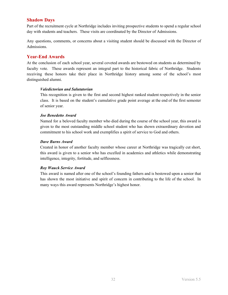# **Shadow Days**

Part of the recruitment cycle at Northridge includes inviting prospective students to spend a regular school day with students and teachers. These visits are coordinated by the Director of Admissions.

Any questions, comments, or concerns about a visiting student should be discussed with the Director of Admissions.

# <span id="page-31-0"></span>**Year-End Awards**

At the conclusion of each school year, several coveted awards are bestowed on students as determined by faculty vote. These awards represent an integral part to the historical fabric of Northridge. Students receiving these honors take their place in Northridge history among some of the school's most distinguished alumni.

#### *Valedictorian and Salutatorian*

This recognition is given to the first and second highest ran ked student respectively in the senior class. It is based on the student's cumulative grade point average at the end of the first semester of senior year.

#### *Joe Benedetto Award*

Named for a beloved faculty member who died during the course of the school year, this award is given to the most outstanding middle school student who has shown extraordinary devotion and commitment to his school work and exemplifies a spirit of service to God and others.

#### *Dave Burns Award*

Created in honor of another faculty member whose career at Northridge was tragically cut short, this award is given to a senior who has excelled in academics and athletics while demonstrating intelligence, integrity, fortitude, and selflessness.

#### *Roy Wauck Service Award*

This award is named after one of the school's founding fathers and is bestowed upon a senior that has shown the most initiative and spirit of concern in contributing to the life of the school. In many ways this award represents Northridge's highest honor.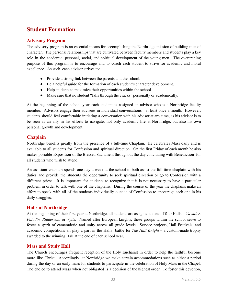# <span id="page-32-0"></span>**Student Formation**

# <span id="page-32-1"></span>**Advisory Program**

The advisory program is an essential means for accomplishing the Northridge mission of building men of character. The personal relationships that are cultivated between faculty members and students play a key role in the academic, personal, social, and spiritual development of the young men. The overarching purpose of this program is to encourage and to coach each student to strive for academic and moral excellence. As such, each advisor strives to:

- Provide a strong link between the parents and the school.
- Be a helpful guide for the formation of each student's character development.
- Help students to maximize their opportunities within the school.
- Make sure that no student "falls through the cracks" personally or academically.

At the beginning of the school year each student is assigned an advisor who is a Northridge faculty member. Advisors engage their advisees in individual conversations at least once a month. However, students should feel comfortable initiating a conversation with his advisor at any time, as his advisor is to be seen as an ally in his efforts to navigate, not only academic life at Northridge, but also his own personal growth and development.

# <span id="page-32-2"></span>**Chaplain**

Northridge benefits greatly from the presence of a full-time Chaplain. He celebrates Mass daily and is available to all students for Confession and spiritual direction. On the first Friday of each month he also makes possible Exposition of the Blessed Sacrament throughout the day concluding with Benediction for all students who wish to attend.

An assistant chaplain spends one day a week at the school to both assist the full-time chaplain with his duties and provide the students the opportunity to seek spiritual direction or go to Confession with a different priest. It is important for students to recognize that it is not necessary to have a particular problem in order to talk with one of the chaplains. During the course of the year the chaplains make an effort to speak with all of the students individually outside of Confession to encourage each one in his daily struggles.

# <span id="page-32-3"></span>**Halls of Northridge**

At the beginning of their first year at Northridge, all students are assigned to one of four Halls – *Cavalier*, *Paladin, Riddervon,* or *Vytis*. Named after European knights, these groups within the school serve to foster a spirit of camaraderie and unity across all grade levels. Service projects, Hall Festivals, and academic competitions all play a part in the Halls' battle for *The Hall Knight* – a custom-made trophy awarded to the winning Hall at the end of each school year.

## <span id="page-32-4"></span>**Mass and Study Hall**

The Church encourages frequent reception of the Holy Eucharist in order to help the faithful become more like Christ. Accordingly, at Northridge we make certain accommodations such as either a period during the day or an early mass for students to participate in the celebration of Holy Mass in the Chapel. The choice to attend Mass when not obligated is a decision of the highest order. To foster this devotion,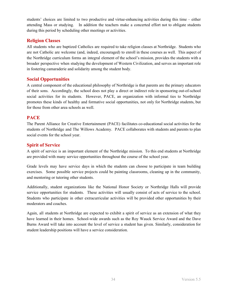students' choices are limited to two productive and virtue-enhancing activities during this time – either attending Mass or studying. In addition the teachers make a concerted effort not to obligate students during this period by scheduling other meetings or activities.

# <span id="page-33-0"></span>**Religion Classes**

All students who are baptized Catholics are required to take religion classes at Northridge. Students who are not Catholic are welcome (and, indeed, encouraged) to enroll in these courses as well. This aspect of the Northridge curriculum forms an integral element of the school's mission, provides the students with a broader perspective when studying the development of Western Civilization, and serves an important role in fostering camaraderie and solidarity among the student body.

# <span id="page-33-1"></span>**Social Opportunities**

A central component of the educational philosophy of Northridge is that parents are the primary educators of their sons. Accordingly, the school does not play a direct o r indirect role in sponsoring out-of-school social activities for its students. However, PACE, an organization with informal ties to Northridge promotes these kinds of healthy and formative social opportunities, not only for Northridge students, but for those from other area schools as well.

# <span id="page-33-2"></span>**PACE**

The Parent Alliance for Creative Entertainment (PACE) facilitates co-educational social activities for the students of Northridge and The Willows Academy. PACE collaborates with students and parents to plan social events for the school year.

# <span id="page-33-3"></span>**Spirit of Service**

A spirit of service is an important element of the Northridge mission. To this end students at Northridge are provided with many service opportunities throughout the course of the school year.

Grade levels may have service days in which the students can choose to participate in team building exercises. Some possible service projects could be painting classrooms, cleaning up in the community, and mentoring or tutoring other students.

Additionally, student organizations like the National Honor Society or Northridge Halls will provide service opportunities for students. These activities will usually consist of acts of service to the school. Students who participate in other extracurricular activities will be provided other opportunities by their moderators and coaches.

Again, all students at Northridge are expected to exhibit a spirit of service as an extension of what they have learned in their homes. School-wide awards such as the Roy Wauck Service Award and the Dave Burns Award will take into account the level of service a student has given. Similarly, consideration for student leadership positions will have a service consideration.